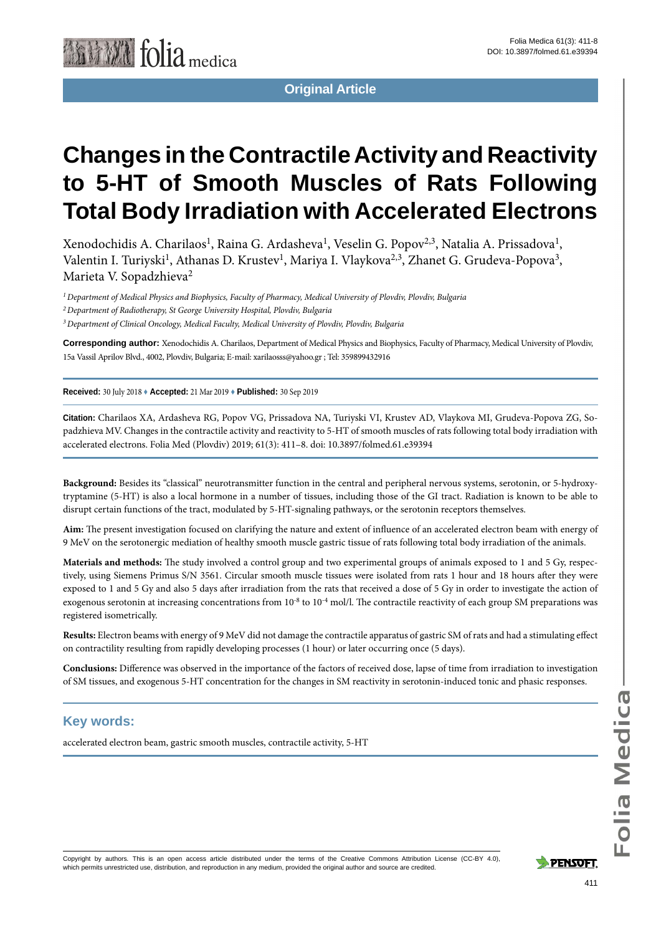

**Original Article**

# **Changes in the Contractile Activity and Reactivity to 5-HT of Smooth Muscles of Rats Following Total Body Irradiation with Accelerated Electrons**

Xenodochidis A. Charilaos<sup>1</sup>, Raina G. Ardasheva<sup>1</sup>, Veselin G. Popov<sup>2,3</sup>, Natalia A. Prissadova<sup>1</sup>, Valentin I. Turiyski<sup>1</sup>, Athanas D. Krustev<sup>1</sup>, Mariya I. Vlaykova<sup>2,3</sup>, Zhanet G. Grudeva-Popova<sup>3</sup>, Marieta V. Sopadzhieva<sup>2</sup>

*1 Department of Medical Physics and Biophysics, Faculty of Pharmacy, Medical University of Plovdiv, Plovdiv, Bulgaria*

*2 Department of Radiotherapy, St George University Hospital, Plovdiv, Bulgaria*

*3 Department of Clinical Oncology, Medical Faculty, Medical University of Plovdiv, Plovdiv, Bulgaria*

**Corresponding author:** Xenodochidis A. Charilaos, Department of Medical Physics and Biophysics, Faculty of Pharmacy, Medical University of Plovdiv, 15a Vassil Aprilov Blvd., 4002, Plovdiv, Bulgaria; E-mail: xarilaosss@yahoo.gr ; Tel: 359899432916

**Received:** 30 July 2018 ♦ **Accepted:** 21 Mar 2019 ♦ **Published:** 30 Sep 2019

**Citation:** Charilaos XA, Ardasheva RG, Popov VG, Prissadova NA, Turiyski VI, Krustev AD, Vlaykova MI, Grudeva-Popova ZG, Sopadzhieva MV. Changes in the contractile activity and reactivity to 5-HT of smooth muscles of rats following total body irradiation with accelerated electrons. Folia Med (Plovdiv) 2019; 61(3): 411–8. doi: 10.3897/folmed.61.e39394

**Background:** Besides its "classical" neurotransmitter function in the central and peripheral nervous systems, serotonin, or 5-hydroxytryptamine (5-HT) is also a local hormone in a number of tissues, including those of the GI tract. Radiation is known to be able to disrupt certain functions of the tract, modulated by 5-HT-signaling pathways, or the serotonin receptors themselves.

**Aim:** The present investigation focused on clarifying the nature and extent of influence of an accelerated electron beam with energy of 9 MeV on the serotonergic mediation of healthy smooth muscle gastric tissue of rats following total body irradiation of the animals.

**Materials and methods:** The study involved a control group and two experimental groups of animals exposed to 1 and 5 Gy, respectively, using Siemens Primus S/N 3561. Circular smooth muscle tissues were isolated from rats 1 hour and 18 hours after they were exposed to 1 and 5 Gy and also 5 days after irradiation from the rats that received a dose of 5 Gy in order to investigate the action of exogenous serotonin at increasing concentrations from  $10^{-8}$  to  $10^{-4}$  mol/l. The contractile reactivity of each group SM preparations was registered isometrically.

**Results:** Electron beams with energy of 9 MeV did not damage the contractile apparatus of gastric SM of rats and had a stimulating effect on contractility resulting from rapidly developing processes (1 hour) or later occurring once (5 days).

**Conclusions:** Difference was observed in the importance of the factors of received dose, lapse of time from irradiation to investigation of SM tissues, and exogenous 5-HT concentration for the changes in SM reactivity in serotonin-induced tonic and phasic responses.

#### **Key words:**

accelerated electron beam, gastric smooth muscles, contractile activity, 5-НТ

Copyright by authors*.* This is an open access article distributed under the terms of the Creative Commons Attribution License (CC-BY 4.0), which permits unrestricted use, distribution, and reproduction in any medium, provided the original author and source are credited.

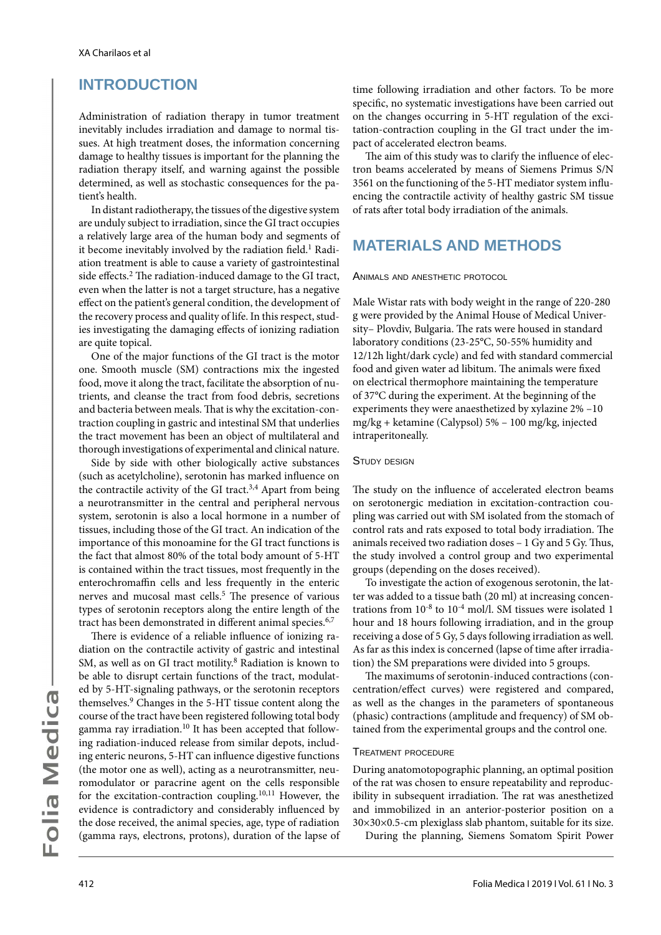### **INTRODUCTION**

Administration of radiation therapy in tumor treatment inevitably includes irradiation and damage to normal tissues. At high treatment doses, the information concerning damage to healthy tissues is important for the planning the radiation therapy itself, and warning against the possible determined, as well as stochastic consequences for the patient's health.

In distant radiotherapy, the tissues of the digestive system are unduly subject to irradiation, since the GI tract occupies a relatively large area of the human body and segments of it become inevitably involved by the radiation field.<sup>1</sup> Radiation treatment is able to cause a variety of gastrointestinal side effects.<sup>2</sup> The radiation-induced damage to the GI tract, even when the latter is not a target structure, has a negative effect on the patient's general condition, the development of the recovery process and quality of life. In this respect, studies investigating the damaging effects of ionizing radiation are quite topical.

One of the major functions of the GI tract is the motor one. Smooth muscle (SM) contractions mix the ingested food, move it along the tract, facilitate the absorption of nutrients, and cleanse the tract from food debris, secretions and bacteria between meals. That is why the excitation-contraction coupling in gastric and intestinal SM that underlies the tract movement has been an object of multilateral and thorough investigations of experimental and clinical nature.

Side by side with other biologically active substances (such as acetylcholine), serotonin has marked influence on the contractile activity of the GI tract.<sup>3,4</sup> Apart from being a neurotransmitter in the central and peripheral nervous system, serotonin is also a local hormone in a number of tissues, including those of the GI tract. An indication of the importance of this monoamine for the GI tract functions is the fact that almost 80% of the total body amount of 5-HT is contained within the tract tissues, most frequently in the enterochromaffin cells and less frequently in the enteric nerves and mucosal mast cells.<sup>5</sup> The presence of various types of serotonin receptors along the entire length of the tract has been demonstrated in different animal species.<sup>6,7</sup>

There is evidence of a reliable influence of ionizing radiation on the contractile activity of gastric and intestinal SM, as well as on GI tract motility.<sup>8</sup> Radiation is known to be able to disrupt certain functions of the tract, modulated by 5-HT-signaling pathways, or the serotonin receptors themselves.9 Changes in the 5-HT tissue content along the course of the tract have been registered following total body gamma ray irradiation.<sup>10</sup> It has been accepted that following radiation-induced release from similar depots, including enteric neurons, 5-HT can influence digestive functions (the motor one as well), acting as a neurotransmitter, neuromodulator or paracrine agent on the cells responsible for the excitation-contraction coupling.10,11 However, the evidence is contradictory and considerably influenced by the dose received, the animal species, age, type of radiation (gamma rays, electrons, protons), duration of the lapse of time following irradiation and other factors. To be more specific, no systematic investigations have been carried out on the changes occurring in 5-НТ regulation of the excitation-contraction coupling in the GI tract under the impact of accelerated electron beams.

The aim of this study was to clarify the influence of electron beams accelerated by means of Siemens Primus S/N 3561 on the functioning of the 5-НТ mediator system influencing the contractile activity of healthy gastric SM tissue of rats after total body irradiation of the animals.

### **MATERIALS AND METHODS**

Animals and anesthetic protocol

Male Wistar rats with body weight in the range of 220-280 g were provided by the Animal House of Medical University– Plovdiv, Bulgaria. The rats were housed in standard laboratory conditions (23-25°C, 50-55% humidity and 12/12h light/dark cycle) and fed with standard commercial food and given water ad libitum. The animals were fixed on electrical thermophore maintaining the temperature of 37°C during the experiment. At the beginning of the experiments they were anaesthetized by xylazine 2% –10 mg/kg + ketamine (Calypsol) 5% – 100 mg/kg, injected intraperitoneally.

#### STUDY DESIGN

The study on the influence of accelerated electron beams on serotonergic mediation in excitation-contraction coupling was carried out with SM isolated from the stomach of control rats and rats exposed to total body irradiation. The animals received two radiation doses – 1 Gy and 5 Gy. Thus, the study involved a control group and two experimental groups (depending on the doses received).

To investigate the action of exogenous serotonin, the latter was added to a tissue bath (20 ml) at increasing concentrations from 10-8 to 10-4 mol/l. SM tissues were isolated 1 hour and 18 hours following irradiation, and in the group receiving a dose of 5 Gy, 5 days following irradiation as well. As far as this index is concerned (lapse of time after irradiation) the SM preparations were divided into 5 groups.

The maximums of serotonin-induced contractions (concentration/effect curves) were registered and compared, as well as the changes in the parameters of spontaneous (phasic) contractions (amplitude and frequency) of SM obtained from the experimental groups and the control one.

#### Treatment procedure

During anatomotopographic planning, an optimal position of the rat was chosen to ensure repeatability and reproducibility in subsequent irradiation. The rat was anesthetized and immobilized in an anterior-posterior position on a 30×30×0.5-cm plexiglass slab phantom, suitable for its size.

During the planning, Siemens Somatom Spirit Power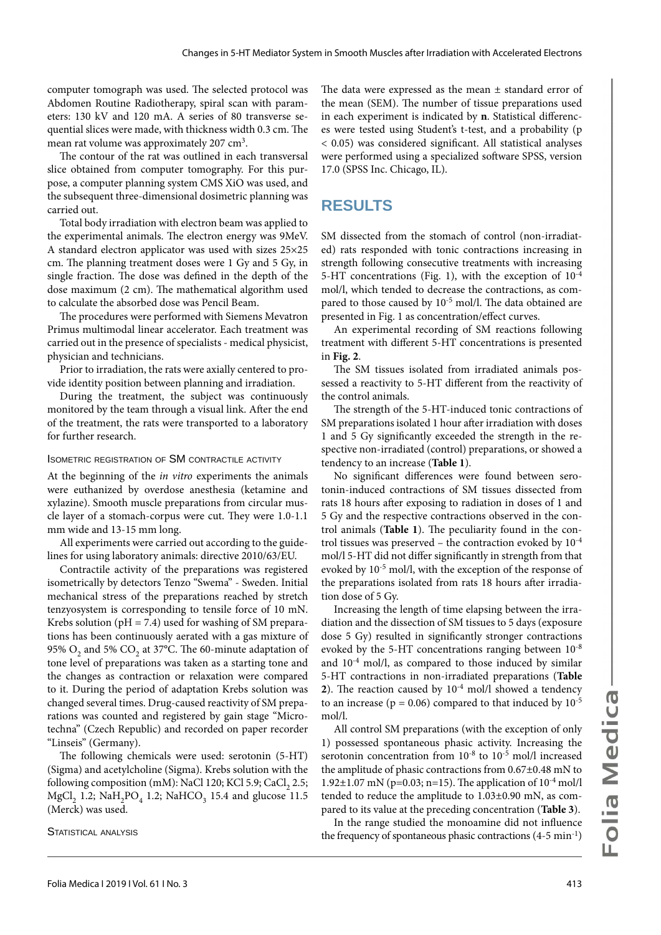computer tomograph was used. The selected protocol was Abdomen Routine Radiotherapy, spiral scan with parameters: 130 kV and 120 mA. A series of 80 transverse sequential slices were made, with thickness width 0.3 cm. The mean rat volume was approximately 207 cm<sup>3</sup>.

The contour of the rat was outlined in each transversal slice obtained from computer tomography. For this purpose, a computer planning system CMS XiO was used, and the subsequent three-dimensional dosimetric planning was carried out.

Total body irradiation with electron beam was applied to the experimental animals. The electron energy was 9MeV. A standard electron applicator was used with sizes 25×25 cm. The planning treatment doses were 1 Gy and 5 Gy, in single fraction. The dose was defined in the depth of the dose maximum (2 cm). The mathematical algorithm used to calculate the absorbed dose was Pencil Beam.

The procedures were performed with Siemens Mevatron Primus multimodal linear accelerator. Each treatment was carried out in the presence of specialists - medical physicist, physician and technicians.

Prior to irradiation, the rats were axially centered to provide identity position between planning and irradiation.

During the treatment, the subject was continuously monitored by the team through a visual link. After the end of the treatment, the rats were transported to a laboratory for further research.

#### Isometric registration of SM contractile activity

At the beginning of the *in vitro* experiments the animals were euthanized by overdose anesthesia (ketamine and xylazine). Smooth muscle preparations from circular muscle layer of a stomach-corpus were cut. They were 1.0-1.1 mm wide and 13-15 mm long.

All experiments were carried out according to the guidelines for using laboratory animals: directive 2010/63/EU.

Contractile activity of the preparations was registered isometrically by detectors Tenzo "Swema" - Sweden. Initial mechanical stress of the preparations reached by stretch tenzyosystem is corresponding to tensile force of 10 mN. Krebs solution ( $pH = 7.4$ ) used for washing of SM preparations has been continuously aerated with a gas mixture of 95%  $O_2$  and 5%  $CO_2$  at 37°C. The 60-minute adaptation of tone level of preparations was taken as a starting tone and the changes as contraction or relaxation were compared to it. During the period of adaptation Krebs solution was changed several times. Drug-caused reactivity of SM preparations was counted and registered by gain stage "Microtechna" (Czech Republic) and recorded on paper recorder "Linseis" (Germany).

The following chemicals were used: serotonin (5-HT) (Sigma) and acetylcholine (Sigma). Krebs solution with the following composition (mM): NaCl 120; KCl 5.9; CaCl<sub>2</sub> 2.5; MgCl<sub>2</sub> 1.2; NaH<sub>2</sub>PO<sub>4</sub> 1.2; NaHCO<sub>3</sub> 15.4 and glucose 11.5 (Merck) was used.

STATISTICAL ANALYSIS

The data were expressed as the mean  $\pm$  standard error of the mean (SEM). The number of tissue preparations used in each experiment is indicated by **n**. Statistical differences were tested using Student's t-test, and a probability (p < 0.05) was considered significant. All statistical analyses were performed using a specialized software SPSS, version 17.0 (SPSS Inc. Chicago, IL).

#### **RESULTS**

SM dissected from the stomach of control (non-irradiated) rats responded with tonic contractions increasing in strength following consecutive treatments with increasing 5-HT concentrations (Fig. 1), with the exception of  $10^{-4}$ mol/l, which tended to decrease the contractions, as compared to those caused by 10<sup>-5</sup> mol/l. The data obtained are presented in Fig. 1 as concentration/effect curves.

An experimental recording of SM reactions following treatment with different 5-HT concentrations is presented in **Fig. 2**.

The SM tissues isolated from irradiated animals possessed a reactivity to 5-НТ different from the reactivity of the control animals.

The strength of the 5-НТ-induced tonic contractions of SM preparations isolated 1 hour after irradiation with doses 1 and 5 Gy significantly exceeded the strength in the respective non-irradiated (control) preparations, or showed a tendency to an increase (**Table 1**).

No significant differences were found between serotonin-induced contractions of SM tissues dissected from rats 18 hours after exposing to radiation in doses of 1 and 5 Gy and the respective contractions observed in the control animals (**Table 1**). The peculiarity found in the control tissues was preserved – the contraction evoked by  $10^{-4}$ mol/l 5-НТ did not differ significantly in strength from that evoked by 10-5 mol/l, with the exception of the response of the preparations isolated from rats 18 hours after irradiation dose of 5 Gy.

Increasing the length of time elapsing between the irradiation and the dissection of SM tissues to 5 days (exposure dose 5 Gy) resulted in significantly stronger contractions evoked by the 5-HT concentrations ranging between  $10^{-8}$ and  $10^{-4}$  mol/l, as compared to those induced by similar 5-НТ contractions in non-irradiated preparations (**Table 2**). The reaction caused by 10-4 mol/l showed a tendency to an increase ( $p = 0.06$ ) compared to that induced by  $10^{-5}$ mol/l.

All control SM preparations (with the exception of only 1) possessed spontaneous phasic activity. Increasing the serotonin concentration from 10-8 to 10-5 mol/l increased the amplitude of phasic contractions from 0.67±0.48 mN to 1.92 $\pm$ 1.07 mN (p=0.03; n=15). The application of 10<sup>-4</sup> mol/l tended to reduce the amplitude to 1.03±0.90 mN, as compared to its value at the preceding concentration (**Table 3**).

In the range studied the monoamine did not influence the frequency of spontaneous phasic contractions  $(4-5 \text{ min}^{-1})$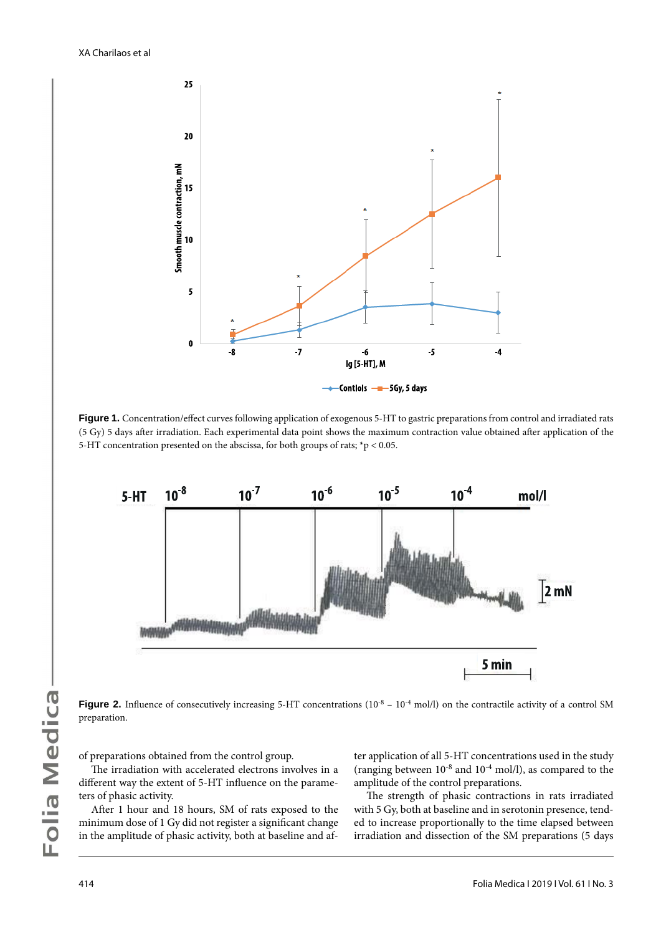

Figure 1. Concentration/effect curves following application of exogenous 5-HT to gastric preparations from control and irradiated rats (5 Gy) 5 days after irradiation. Each experimental data point shows the maximum contraction value obtained after application of the 5-HT concentration presented on the abscissa, for both groups of rats; \*р < 0.05.



**Figure 2.** Influence of consecutively increasing 5-HT concentrations (10<sup>-8</sup> – 10<sup>-4</sup> mol/l) on the contractile activity of a control SM preparation.

of preparations obtained from the control group.

The irradiation with accelerated electrons involves in a different way the extent of 5-HT influence on the parameters of phasic activity.

After 1 hour and 18 hours, SM of rats exposed to the minimum dose of 1 Gy did not register a significant change in the amplitude of phasic activity, both at baseline and after application of all 5-НТ concentrations used in the study (ranging between  $10^{-8}$  and  $10^{-4}$  mol/l), as compared to the amplitude of the control preparations.

The strength of phasic contractions in rats irradiated with 5 Gy, both at baseline and in serotonin presence, tended to increase proportionally to the time elapsed between irradiation and dissection of the SM preparations (5 days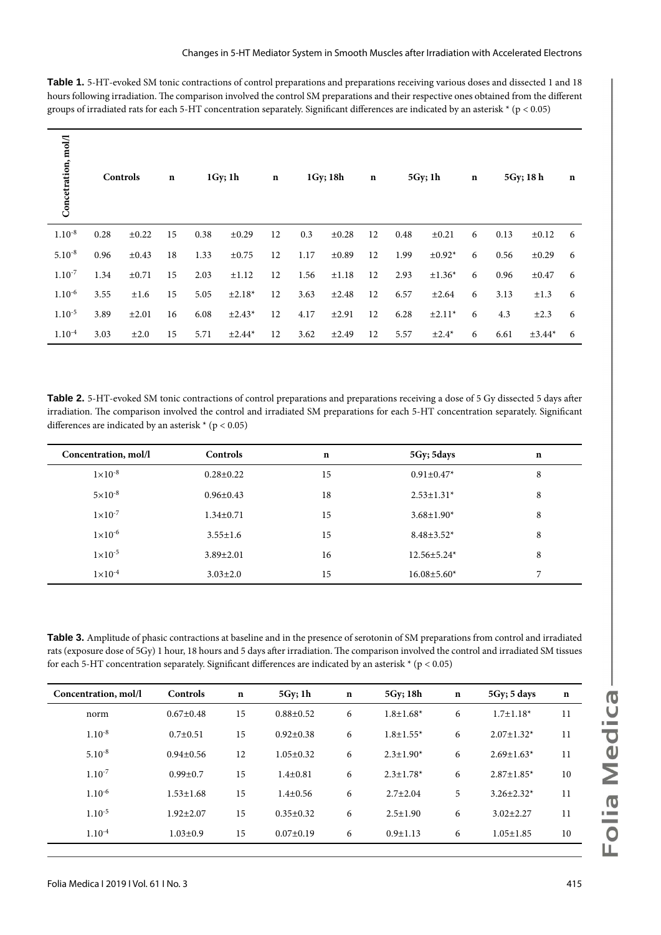**Table 1.** 5-НТ-evoked SM tonic contractions of control preparations and preparations receiving various doses and dissected 1 and 18 hours following irradiation. The comparison involved the control SM preparations and their respective ones obtained from the different groups of irradiated rats for each 5-HT concentration separately. Significant differences are indicated by an asterisk  $*(p < 0.05)$ 

| Concetration, mol/l | Controls |            | $\mathbf n$ |      | $1Gy$ ; 1h | $\mathbf n$ |      | 1Gy; 18h   | $\mathbf n$ |      | 5Gy; 1h     | $\mathbf n$ |      | 5Gy; 18 h  | n |
|---------------------|----------|------------|-------------|------|------------|-------------|------|------------|-------------|------|-------------|-------------|------|------------|---|
| $1.10^{-8}$         | 0.28     | $\pm 0.22$ | 15          | 0.38 | $\pm 0.29$ | 12          | 0.3  | $\pm 0.28$ | 12          | 0.48 | $\pm 0.21$  | 6           | 0.13 | $\pm 0.12$ | 6 |
| $5.10^{-8}$         | 0.96     | $\pm 0.43$ | 18          | 1.33 | $\pm 0.75$ | 12          | 1.17 | $\pm 0.89$ | 12          | 1.99 | $\pm 0.92*$ | 6           | 0.56 | $\pm 0.29$ | 6 |
| $1.10^{-7}$         | 1.34     | $\pm 0.71$ | 15          | 2.03 | ±1.12      | 12          | 1.56 | ±1.18      | 12          | 2.93 | $±1.36*$    | 6           | 0.96 | $\pm 0.47$ | 6 |
| $1.10^{-6}$         | 3.55     | ±1.6       | 15          | 5.05 | $±2.18*$   | 12          | 3.63 | $\pm 2.48$ | 12          | 6.57 | ±2.64       | 6           | 3.13 | $\pm 1.3$  | 6 |
| $1.10^{-5}$         | 3.89     | $\pm 2.01$ | 16          | 6.08 | $±2.43*$   | 12          | 4.17 | ±2.91      | 12          | 6.28 | $±2.11*$    | 6           | 4.3  | $\pm 2.3$  | 6 |
| $1.10^{-4}$         | 3.03     | $\pm 2.0$  | 15          | 5.71 | $±2.44*$   | 12          | 3.62 | ±2.49      | 12          | 5.57 | $\pm 2.4^*$ | 6           | 6.61 | $±3.44*$   | 6 |

**Table 2.** 5-НТ-evoked SM tonic contractions of control preparations and preparations receiving a dose of 5 Gy dissected 5 days after irradiation. The comparison involved the control and irradiated SM preparations for each 5-НТ concentration separately. Significant differences are indicated by an asterisk  $*(p < 0.05)$ 

| Concentration, mol/l | Controls        | $\mathbf n$ | 5Gy; 5days        | $\mathbf n$ |
|----------------------|-----------------|-------------|-------------------|-------------|
| $1 \times 10^{-8}$   | $0.28 \pm 0.22$ | 15          | $0.91 \pm 0.47*$  | 8           |
| $5 \times 10^{-8}$   | $0.96 \pm 0.43$ | 18          | $2.53 \pm 1.31^*$ | 8           |
| $1 \times 10^{-7}$   | $1.34 \pm 0.71$ | 15          | $3.68 \pm 1.90^*$ | 8           |
| $1\times10^{-6}$     | $3.55 \pm 1.6$  | 15          | $8.48 \pm 3.52^*$ | 8           |
| $1 \times 10^{-5}$   | $3.89 \pm 2.01$ | 16          | $12.56 \pm 5.24*$ | 8           |
| $1 \times 10^{-4}$   | $3.03 \pm 2.0$  | 15          | $16.08 \pm 5.60*$ | 7           |

**Table 3.** Amplitude of phasic contractions at baseline and in the presence of serotonin of SM preparations from control and irradiated rats (exposure dose of 5Gy) 1 hour, 18 hours and 5 days after irradiation. The comparison involved the control and irradiated SM tissues for each 5-HT concentration separately. Significant differences are indicated by an asterisk  $*(p < 0.05)$ 

| Concentration, mol/l | Controls        | $\mathbf n$ | 5Gy; 1h         | $\mathbf n$ | 5Gy; 18h                    | $\mathbf n$ | $5Gy$ ; 5 days    | $\mathbf n$ |
|----------------------|-----------------|-------------|-----------------|-------------|-----------------------------|-------------|-------------------|-------------|
| norm                 | $0.67 \pm 0.48$ | 15          | $0.88 + 0.52$   | 6           | $1.8 \pm 1.68^*$            | 6           | $1.7 \pm 1.18*$   | 11          |
| $1.10^{-8}$          | $0.7 \pm 0.51$  | 15          | $0.92 \pm 0.38$ | 6           | $1.8 \pm 1.55^*$            | 6           | $2.07 \pm 1.32$ * | 11          |
| $5.10^{-8}$          | $0.94 \pm 0.56$ | 12          | $1.05 \pm 0.32$ | 6           | $2.3 \pm 1.90^*$            | 6           | $2.69 \pm 1.63*$  | 11          |
| $1.10^{-7}$          | $0.99 \pm 0.7$  | 15          | $1.4 \pm 0.81$  | 6           | $2.3 \pm 1.78$ <sup>*</sup> | 6           | $2.87 \pm 1.85$ * | 10          |
| $1.10^{-6}$          | $1.53 \pm 1.68$ | 15          | $1.4 \pm 0.56$  | 6           | $2.7 \pm 2.04$              | 5           | $3.26 \pm 2.32^*$ | 11          |
| $1.10^{-5}$          | $1.92 \pm 2.07$ | 15          | $0.35 \pm 0.32$ | 6           | $2.5 \pm 1.90$              | 6           | $3.02 \pm 2.27$   | 11          |
| $1.10^{-4}$          | $1.03 \pm 0.9$  | 15          | $0.07 \pm 0.19$ | 6           | $0.9 \pm 1.13$              | 6           | $1.05 \pm 1.85$   | 10          |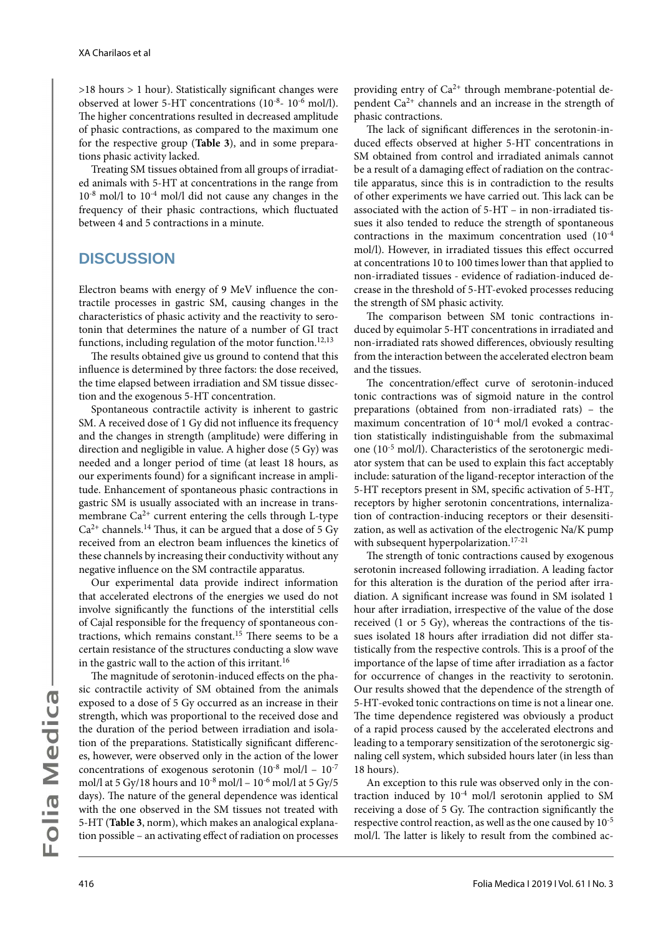>18 hours > 1 hour). Statistically significant changes were observed at lower 5-HT concentrations (10-8- 10-6 mol/l). The higher concentrations resulted in decreased amplitude of phasic contractions, as compared to the maximum one for the respective group (**Table 3**), and in some preparations phasic activity lacked.

Treating SM tissues obtained from all groups of irradiated animals with 5-HT at concentrations in the range from 10-8 mol/l to 10-4 mol/l did not cause any changes in the frequency of their phasic contractions, which fluctuated between 4 and 5 contractions in a minute.

### **DISCUSSION**

Electron beams with energy of 9 MeV influence the contractile processes in gastric SM, causing changes in the characteristics of phasic activity and the reactivity to serotonin that determines the nature of a number of GI tract functions, including regulation of the motor function.<sup>12,13</sup>

The results obtained give us ground to contend that this influence is determined by three factors: the dose received, the time elapsed between irradiation and SM tissue dissection and the exogenous 5-НТ concentration.

Spontaneous contractile activity is inherent to gastric SM. A received dose of 1 Gy did not influence its frequency and the changes in strength (amplitude) were differing in direction and negligible in value. A higher dose (5 Gy) was needed and a longer period of time (at least 18 hours, as our experiments found) for a significant increase in amplitude. Enhancement of spontaneous phasic contractions in gastric SM is usually associated with an increase in transmembrane  $Ca^{2+}$  current entering the cells through L-type  $Ca<sup>2+</sup> channels.<sup>14</sup> Thus, it can be argued that a dose of 5 Gv$ received from an electron beam influences the kinetics of these channels by increasing their conductivity without any negative influence on the SM contractile apparatus.

Our experimental data provide indirect information that accelerated electrons of the energies we used do not involve significantly the functions of the interstitial cells of Cajal responsible for the frequency of spontaneous contractions, which remains constant.15 There seems to be a certain resistance of the structures conducting a slow wave in the gastric wall to the action of this irritant.16

The magnitude of serotonin-induced effects on the phasic contractile activity of SM obtained from the animals exposed to a dose of 5 Gy occurred as an increase in their strength, which was proportional to the received dose and the duration of the period between irradiation and isolation of the preparations. Statistically significant differences, however, were observed only in the action of the lower concentrations of exogenous serotonin  $(10^{-8} \text{ mol}/1 - 10^{-7})$ mol/l at 5 Gy/18 hours and  $10^{-8}$  mol/l –  $10^{-6}$  mol/l at 5 Gy/5 days). The nature of the general dependence was identical with the one observed in the SM tissues not treated with 5-НТ (**Table 3**, norm), which makes an analogical explanation possible – an activating effect of radiation on processes

providing entry of  $Ca^{2+}$  through membrane-potential dependent Ca<sup>2+</sup> channels and an increase in the strength of phasic contractions.

The lack of significant differences in the serotonin-induced effects observed at higher 5-HT concentrations in SM obtained from control and irradiated animals cannot be a result of a damaging effect of radiation on the contractile apparatus, since this is in contradiction to the results of other experiments we have carried out. This lack can be associated with the action of 5-HT – in non-irradiated tissues it also tended to reduce the strength of spontaneous contractions in the maximum concentration used (10-4 mol/l). However, in irradiated tissues this effect occurred at concentrations 10 to 100 times lower than that applied to non-irradiated tissues - evidence of radiation-induced decrease in the threshold of 5-HT-evoked processes reducing the strength of SM phasic activity.

The comparison between SM tonic contractions induced by equimolar 5-HT concentrations in irradiated and non-irradiated rats showed differences, obviously resulting from the interaction between the accelerated electron beam and the tissues.

The concentration/effect curve of serotonin-induced tonic contractions was of sigmoid nature in the control preparations (obtained from non-irradiated rats) – the maximum concentration of 10-4 mol/l evoked a contraction statistically indistinguishable from the submaximal one (10-5 mol/l). Characteristics of the serotonergic mediator system that can be used to explain this fact acceptably include: saturation of the ligand-receptor interaction of the 5-HT receptors present in SM, specific activation of  $5-HT<sub>7</sub>$ receptors by higher serotonin concentrations, internalization of contraction-inducing receptors or their desensitization, as well as activation of the electrogenic Na/K pump with subsequent hyperpolarization.<sup>17-21</sup>

The strength of tonic contractions caused by exogenous serotonin increased following irradiation. A leading factor for this alteration is the duration of the period after irradiation. A significant increase was found in SM isolated 1 hour after irradiation, irrespective of the value of the dose received (1 or 5 Gy), whereas the contractions of the tissues isolated 18 hours after irradiation did not differ statistically from the respective controls. This is a proof of the importance of the lapse of time after irradiation as a factor for occurrence of changes in the reactivity to serotonin. Our results showed that the dependence of the strength of 5-НТ-evoked tonic contractions on time is not a linear one. The time dependence registered was obviously a product of a rapid process caused by the accelerated electrons and leading to a temporary sensitization of the serotonergic signaling cell system, which subsided hours later (in less than 18 hours).

An exception to this rule was observed only in the contraction induced by 10-4 mol/l serotonin applied to SM receiving a dose of 5 Gy. The contraction significantly the respective control reaction, as well as the one caused by 10-5 mol/l. The latter is likely to result from the combined ac-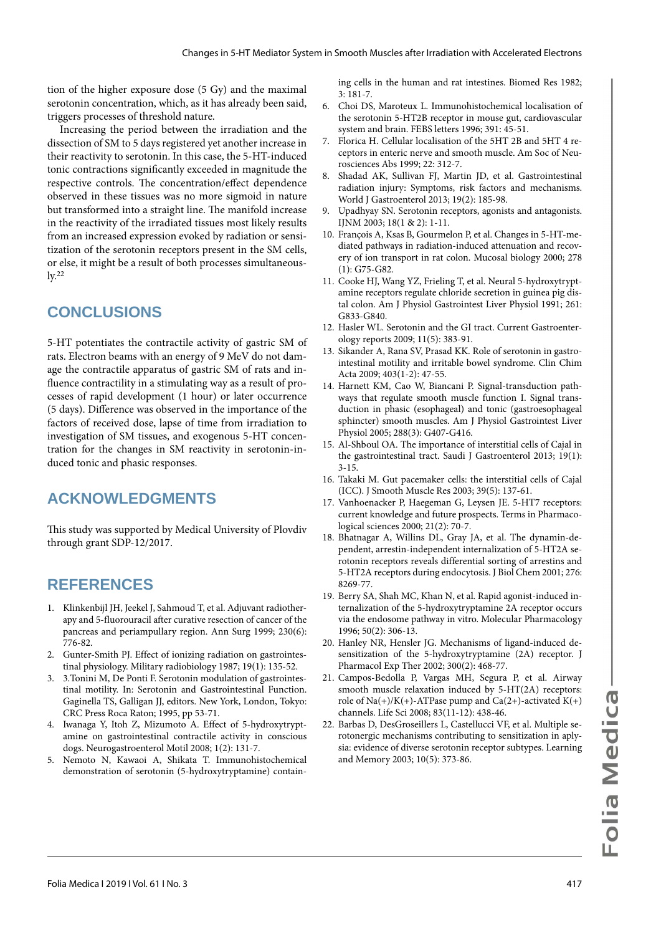tion of the higher exposure dose (5 Gy) and the maximal serotonin concentration, which, as it has already been said, triggers processes of threshold nature.

Increasing the period between the irradiation and the dissection of SM to 5 days registered yet another increase in their reactivity to serotonin. In this case, the 5-HT-induced tonic contractions significantly exceeded in magnitude the respective controls. The concentration/effect dependence observed in these tissues was no more sigmoid in nature but transformed into a straight line. The manifold increase in the reactivity of the irradiated tissues most likely results from an increased expression evoked by radiation or sensitization of the serotonin receptors present in the SM cells, or else, it might be a result of both processes simultaneous- $\mathrm{lv.}^{22}$ 

### **CONCLUSIONS**

5-НТ potentiates the contractile activity of gastric SM of rats. Electron beams with an energy of 9 MeV do not damage the contractile apparatus of gastric SM of rats and influence contractility in a stimulating way as a result of processes of rapid development (1 hour) or later occurrence (5 days). Difference was observed in the importance of the factors of received dose, lapse of time from irradiation to investigation of SM tissues, and exogenous 5-HT concentration for the changes in SM reactivity in serotonin-induced tonic and phasic responses.

## **ACKNOWLEDGMENTS**

This study was supported by Medical University of Plovdiv through grant SDP-12/2017.

### **REFERENCES**

- 1. Klinkenbijl JH, Jeekel J, Sahmoud T, et al. Adjuvant radiotherapy and 5-fluorouracil after curative resection of cancer of the pancreas and periampullary region. Ann Surg 1999; 230(6): 776-82.
- 2. Gunter-Smith PJ. Effect of ionizing radiation on gastrointestinal physiology. Military radiobiology 1987; 19(1): 135-52.
- 3. 3.Tonini M, De Ponti F. Serotonin modulation of gastrointestinal motility. In: Serotonin and Gastrointestinal Function. Gaginella TS, Galligan JJ, editors. New York, London, Tokyo: CRC Press Roca Raton; 1995, pp 53-71.
- 4. Iwanaga Y, Itoh Z, Mizumoto A. Effect of 5‐hydroxytryptamine on gastrointestinal contractile activity in conscious dogs. Neurogastroenterol Motil 2008; 1(2): 131-7.
- 5. Nemoto N, Kawaoi A, Shikata T. Immunohistochemical demonstration of serotonin (5-hydroxytryptamine) contain-

ing cells in the human and rat intestines. Biomed Res 1982; 3: 181-7.

- 6. Сhoi DS, Maroteux L. Immunohistochemical localisation of the serotonin 5-HT2B receptor in mouse gut, cardiovascular system and brain. FEBS letters 1996; 391: 45-51.
- 7. Florica H. Cellular localisation of the 5HT 2B and 5HT 4 receptors in enteric nerve and smooth muscle. Am Soc of Neurosciences Abs 1999; 22: 312-7.
- 8. Shadad AK, Sullivan FJ, Martin JD, et al. Gastrointestinal radiation injury: Symptoms, risk factors and mechanisms. World J Gastroenterol 2013; 19(2): 185-98.
- 9. Upadhyay SN. Serotonin receptors, agonists and antagonists. IJNM 2003; 18(1 & 2): 1-11.
- 10. François A, Ksas B, Gourmelon P, et al. Changes in 5-HT-mediated pathways in radiation-induced attenuation and recovery of ion transport in rat colon. Mucosal biology 2000; 278 (1): G75-G82.
- 11. Cooke HJ, Wang YZ, Frieling T, et al. Neural 5-hydroxytryptamine receptors regulate chloride secretion in guinea pig distal colon. Am J Physiol Gastrointest Liver Physiol 1991; 261: G833-G840.
- 12. Hasler WL. Serotonin and the GI tract. Current Gastroenterology reports 2009; 11(5): 383-91.
- 13. Sikander A, Rana SV, Prasad KK. Role of serotonin in gastrointestinal motility and irritable bowel syndrome. Clin Chim Acta 2009; 403(1-2): 47-55.
- 14. Harnett KM, Cao W, Biancani P. Signal-transduction pathways that regulate smooth muscle function I. Signal transduction in phasic (esophageal) and tonic (gastroesophageal sphincter) smooth muscles. Am J Physiol Gastrointest Liver Physiol 2005; 288(3): G407-G416.
- 15. Al-Shboul OA. The importance of interstitial cells of Cajal in the gastrointestinal tract. Saudi J Gastroenterol 2013; 19(1): 3-15.
- 16. Takaki M. Gut pacemaker cells: the interstitial cells of Cajal (ICC). J Smooth Muscle Res 2003; 39(5): 137-61.
- 17. Vanhoenacker P, Haegeman G, Leysen JE. 5-HT7 receptors: current knowledge and future prospects. Terms in Pharmacological sciences 2000; 21(2): 70-7.
- 18. Bhatnagar A, Willins DL, Gray JA, et al. The dynamin-dependent, arrestin-independent internalization of 5-HT2A serotonin receptors reveals differential sorting of arrestins and 5-HT2A receptors during endocytosis. J Biol Chem 2001; 276: 8269-77.
- 19. Berry SA, Shah MC, Khan N, et al. Rapid agonist-induced internalization of the 5-hydroxytryptamine 2A receptor occurs via the endosome pathway in vitro. Molecular Pharmacology 1996; 50(2): 306-13.
- 20. Hanley NR, Hensler JG. Mechanisms of ligand-induced desensitization of the 5-hydroxytryptamine (2A) receptor. J Pharmacol Exp Ther 2002; 300(2): 468-77.
- 21. Campos-Bedolla P, Vargas MH, Segura P, et al. Airway smooth muscle relaxation induced by 5-HT(2A) receptors: role of  $Na(+)/K(+)$ -ATPase pump and  $Ca(2+)$ -activated  $K(+)$ channels. Life Sci 2008; 83(11-12): 438-46.
- 22. Barbas D, DesGroseillers L, Castellucci VF, et al. Multiple serotonergic mechanisms contributing to sensitization in aplysia: evidence of diverse serotonin receptor subtypes. Learning and Memory 2003; 10(5): 373-86.